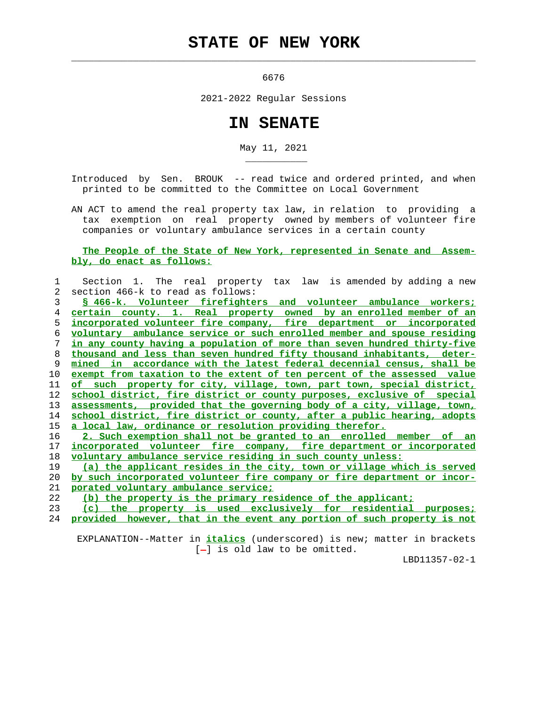## **STATE OF NEW YORK**

 $\mathcal{L}_\text{max} = \frac{1}{2} \sum_{i=1}^{n} \frac{1}{2} \sum_{i=1}^{n} \frac{1}{2} \sum_{i=1}^{n} \frac{1}{2} \sum_{i=1}^{n} \frac{1}{2} \sum_{i=1}^{n} \frac{1}{2} \sum_{i=1}^{n} \frac{1}{2} \sum_{i=1}^{n} \frac{1}{2} \sum_{i=1}^{n} \frac{1}{2} \sum_{i=1}^{n} \frac{1}{2} \sum_{i=1}^{n} \frac{1}{2} \sum_{i=1}^{n} \frac{1}{2} \sum_{i=1}^{n} \frac{1$ 

\_\_\_\_\_\_\_\_\_\_\_

6676

2021-2022 Regular Sessions

## **IN SENATE**

May 11, 2021

 Introduced by Sen. BROUK -- read twice and ordered printed, and when printed to be committed to the Committee on Local Government

 AN ACT to amend the real property tax law, in relation to providing a tax exemption on real property owned by members of volunteer fire companies or voluntary ambulance services in a certain county

 **The People of the State of New York, represented in Senate and Assem bly, do enact as follows:**

| 1  | Section 1. The real property tax law is amended by adding a new          |
|----|--------------------------------------------------------------------------|
| 2  | section 466-k to read as follows:                                        |
| 3  | \$ 466-k. Volunteer firefighters and volunteer ambulance workers;        |
| 4  | certain county. 1. Real property owned by an enrolled member of an       |
| 5  | incorporated volunteer fire company, fire department or incorporated     |
| 6  | voluntary ambulance service or such enrolled member and spouse residing  |
| 7  | in any county having a population of more than seven hundred thirty-five |
| 8  | thousand and less than seven hundred fifty thousand inhabitants, deter-  |
| 9  | mined in accordance with the latest federal decennial census, shall be   |
| 10 | exempt from taxation to the extent of ten percent of the assessed value  |
| 11 | of such property for city, village, town, part town, special district,   |
| 12 | school district, fire district or county purposes, exclusive of special  |
| 13 | assessments, provided that the governing body of a city, village, town,  |
| 14 | school district, fire district or county, after a public hearing, adopts |
| 15 | a local law, ordinance or resolution providing therefor.                 |
| 16 | 2. Such exemption shall not be granted to an enrolled member of an       |
| 17 | incorporated volunteer fire company, fire department or incorporated     |
| 18 | voluntary ambulance service residing in such county unless:              |
| 19 | (a) the applicant resides in the city, town or village which is served   |
| 20 | by such incorporated volunteer fire company or fire department or incor- |
| 21 | porated voluntary ambulance service;                                     |
| 22 | (b) the property is the primary residence of the applicant;              |
| 23 | (c) the property is used exclusively for residential purposes;           |
| 24 | provided however, that in the event any portion of such property is not  |
|    |                                                                          |

 EXPLANATION--Matter in **italics** (underscored) is new; matter in brackets [-] is old law to be omitted.

LBD11357-02-1